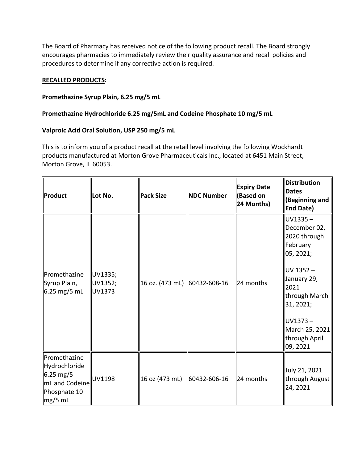The Board of Pharmacy has received notice of the following product recall. The Board strongly encourages pharmacies to immediately review their quality assurance and recall policies and procedures to determine if any corrective action is required.

## **RECALLED PRODUCTS:**

## **Promethazine Syrup Plain, 6.25 mg/5 mL**

## **Promethazine Hydrochloride 6.25 mg/5mL and Codeine Phosphate 10 mg/5 mL**

## **Valproic Acid Oral Solution, USP 250 mg/5 mL**

This is to inform you of a product recall at the retail level involving the following Wockhardt products manufactured at Morton Grove Pharmaceuticals Inc., located at 6451 Main Street, Morton Grove, IL 60053.

| Product                                                                                           | Lot No.                      | <b>Pack Size</b>             | <b>NDC Number</b> | <b>Expiry Date</b><br>(Based on<br>24 Months) | Distribution<br><b>Dates</b><br>(Beginning and<br><b>End Date)</b>                                                                                                                                |
|---------------------------------------------------------------------------------------------------|------------------------------|------------------------------|-------------------|-----------------------------------------------|---------------------------------------------------------------------------------------------------------------------------------------------------------------------------------------------------|
| Promethazine<br>Syrup Plain,<br>6.25 mg/5 mL                                                      | UV1335;<br>UV1352;<br>UV1373 | 16 oz. (473 mL) 60432-608-16 |                   | 24 months                                     | $UV1335 -$<br>December 02,<br>2020 through<br>February<br>05, 2021;<br>UV 1352-<br>January 29,<br>2021<br>through March<br>31, 2021;<br>$UV1373 -$<br>March 25, 2021<br>through April<br>09, 2021 |
| Promethazine<br>Hydrochloride<br>$6.25 \text{ mg}/5$<br>mL and Codeine<br>Phosphate 10<br>mg/5 mL | UV1198                       | 16 oz (473 mL)               | 60432-606-16      | 24 months                                     | July 21, 2021<br>through August<br>24, 2021                                                                                                                                                       |